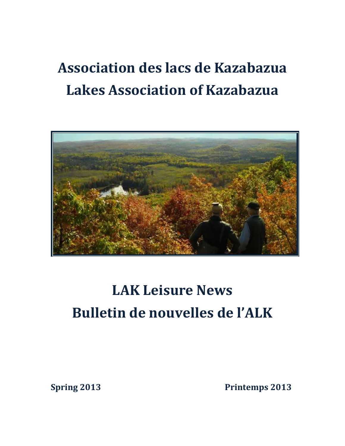# **Association des lacs de Kazabazua Lakes Association of Kazabazua**



## **LAK Leisure News Bulletin de nouvelles de l'ALK**

**Spring 2013** Printemps 2013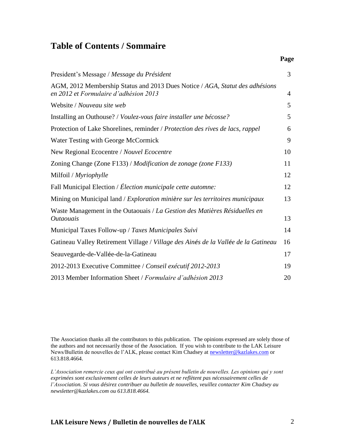#### **Table of Contents / Sommaire**

|                                                                                                                       | Page |
|-----------------------------------------------------------------------------------------------------------------------|------|
| President's Message / Message du Président                                                                            | 3    |
| AGM, 2012 Membership Status and 2013 Dues Notice / AGA, Statut des adhésions<br>en 2012 et Formulaire d'adhésion 2013 | 4    |
| Website / Nouveau site web                                                                                            | 5    |
| Installing an Outhouse? / Voulez-vous faire installer une bécosse?                                                    | 5    |
| Protection of Lake Shorelines, reminder / Protection des rives de lacs, rappel                                        | 6    |
| Water Testing with George McCormick                                                                                   | 9    |
| New Regional Ecocentre / Nouvel Ecocentre                                                                             | 10   |
| Zoning Change (Zone F133) / Modification de zonage (zone F133)                                                        | 11   |
| Milfoil / Myriophylle                                                                                                 | 12   |
| Fall Municipal Election / Élection municipale cette automne:                                                          | 12   |
| Mining on Municipal land / Exploration minière sur les territoires municipaux                                         | 13   |
| Waste Management in the Outaouais / La Gestion des Matières Résiduelles en<br><i>Outaouais</i>                        | 13   |
| Municipal Taxes Follow-up / Taxes Municipales Suivi                                                                   | 14   |
| Gatineau Valley Retirement Village / Village des Ainés de la Vallée de la Gatineau                                    | 16   |
| Seauvegarde-de-Vallée-de-la-Gatineau                                                                                  | 17   |
| 2012-2013 Executive Committee / Conseil exécutif 2012-2013                                                            | 19   |
| 2013 Member Information Sheet / Formulaire d'adhésion 2013                                                            | 20   |

The Association thanks all the contributors to this publication. The opinions expressed are solely those of the authors and not necessarily those of the Association. If you wish to contribute to the LAK Leisure News/Bulletin de nouvelles de l'ALK, please contact Kim Chadsey at [newsletter@kazlakes.com](mailto:newsletter@kazlakes.com) or 613.818.4664.

*L'Association remercie ceux qui ont contribué au présent bulletin de nouvelles. Les opinions qui y sont exprimées sont exclusivement celles de leurs auteurs et ne reflètent pas nécessairement celles de l'Association. Si vous désirez contribuer au bulletin de nouvelles, veuillez contacter Kim Chadsey au newsletter@kazlakes.com ou 613.818.4664.*

#### **LAK Leisure News / Bulletin de nouvelles de l'ALK** 2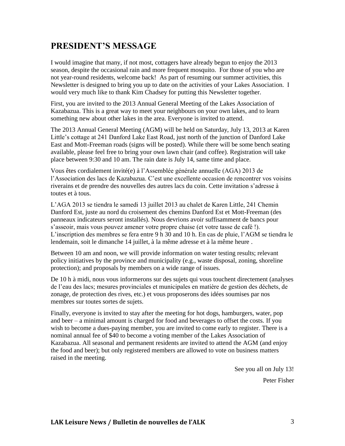### **PRESIDENT'S MESSAGE**

I would imagine that many, if not most, cottagers have already begun to enjoy the 2013 season, despite the occasional rain and more frequent mosquito. For those of you who are not year-round residents, welcome back! As part of resuming our summer activities, this Newsletter is designed to bring you up to date on the activities of your Lakes Association. I would very much like to thank Kim Chadsey for putting this Newsletter together.

First, you are invited to the 2013 Annual General Meeting of the Lakes Association of Kazabazua. This is a great way to meet your neighbours on your own lakes, and to learn something new about other lakes in the area. Everyone is invited to attend.

The 2013 Annual General Meeting (AGM) will be held on Saturday, July 13, 2013 at Karen Little's cottage at 241 Danford Lake East Road, just north of the junction of Danford Lake East and Mott-Freeman roads (signs will be posted). While there will be some bench seating available, please feel free to bring your own lawn chair (and coffee). Registration will take place between 9:30 and 10 am. The rain date is July 14, same time and place.

Vous êtes cordialement invité(e) à l'Assemblée générale annuelle (AGA) 2013 de l'Association des lacs de Kazabazua. C'est une excellente occasion de rencontrer vos voisins riverains et de prendre des nouvelles des autres lacs du coin. Cette invitation s'adresse à toutes et à tous.

L'AGA 2013 se tiendra le samedi 13 juillet 2013 au chalet de Karen Little, 241 Chemin Danford Est, juste au nord du croisement des chemins Danford Est et Mott-Freeman (des panneaux indicateurs seront installés). Nous devrions avoir suffisamment de bancs pour s'asseoir, mais vous pouvez amener votre propre chaise (et votre tasse de café !). L'inscription des membres se fera entre 9 h 30 and 10 h. En cas de pluie, l'AGM se tiendra le lendemain, soit le dimanche 14 juillet, à la même adresse et à la même heure .

Between 10 am and noon, we will provide information on water testing results; relevant policy initiatives by the province and municipality (e.g., waste disposal, zoning, shoreline protection); and proposals by members on a wide range of issues.

De 10 h à midi, nous vous informerons sur des sujets qui vous touchent directement (analyses de l'eau des lacs; mesures provinciales et municipales en matière de gestion des déchets, de zonage, de protection des rives, etc.) et vous proposerons des idées soumises par nos membres sur toutes sortes de sujets.

Finally, everyone is invited to stay after the meeting for hot dogs, hamburgers, water, pop and beer – a minimal amount is charged for food and beverages to offset the costs. If you wish to become a dues-paying member, you are invited to come early to register. There is a nominal annual fee of \$40 to become a voting member of the Lakes Association of Kazabazua. All seasonal and permanent residents are invited to attend the AGM (and enjoy the food and beer); but only registered members are allowed to vote on business matters raised in the meeting.

See you all on July 13!

Peter Fisher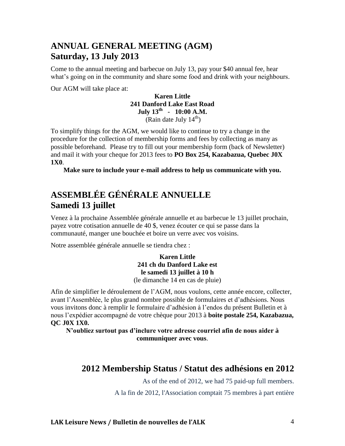#### **ANNUAL GENERAL MEETING (AGM) Saturday, 13 July 2013**

Come to the annual meeting and barbecue on July 13, pay your \$40 annual fee, hear what's going on in the community and share some food and drink with your neighbours.

Our AGM will take place at:

**Karen Little 241 Danford Lake East Road July 13 th - 10:00 A.M.** (Rain date July  $14^{th}$ )

To simplify things for the AGM, we would like to continue to try a change in the procedure for the collection of membership forms and fees by collecting as many as possible beforehand. Please try to fill out your membership form (back of Newsletter) and mail it with your cheque for 2013 fees to **PO Box 254, Kazabazua, Quebec J0X 1X0**.

**Make sure to include your e-mail address to help us communicate with you.**

### **ASSEMBLÉE GÉNÉRALE ANNUELLE Samedi 13 juillet**

Venez à la prochaine Assemblée générale annuelle et au barbecue le 13 juillet prochain, payez votre cotisation annuelle de 40 \$, venez écouter ce qui se passe dans la communauté, manger une bouchée et boire un verre avec vos voisins.

Notre assemblée générale annuelle se tiendra chez :

**Karen Little 241 ch du Danford Lake est le samedi 13 juillet à 10 h** (le dimanche 14 en cas de pluie)

Afin de simplifier le déroulement de l'AGM, nous voulons, cette année encore, collecter, avant l'Assemblée, le plus grand nombre possible de formulaires et d'adhésions. Nous vous invitons donc à remplir le formulaire d'adhésion à l'endos du présent Bulletin et à nous l'expédier accompagné de votre chèque pour 2013 à **boite postale 254, Kazabazua, QC J0X 1X0.**

**N'oubliez surtout pas d'inclure votre adresse courriel afin de nous aider à communiquer avec vous**.

#### **2012 Membership Status / Statut des adhésions en 2012**

As of the end of 2012, we had 75 paid-up full members.

A la fin de 2012, l'Association comptait 75 membres à part entière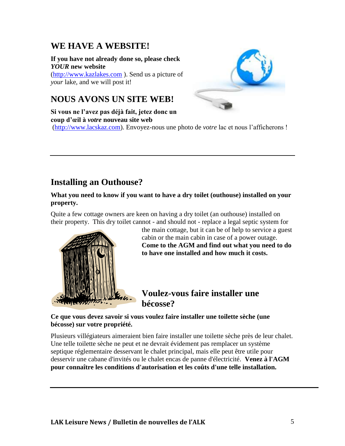#### **WE HAVE A WEBSITE!**

**If you have not already done so, please check**  *YOUR* **new website** [\(http://www.kazlakes.com](http://www.kazlakes.com/) ). Send us a picture of *your* lake, and we will post it!



### **NOUS AVONS UN SITE WEB!**

**Si vous ne l'avez pas déjà fait, jetez donc un coup d'œil à** *votre* **nouveau site web** [\(http://www.lacskaz.com\)](http://www.lacskaz.com/). Envoyez-nous une photo de *votre* lac et nous l'afficherons !

### **Installing an Outhouse?**

#### **What you need to know if you want to have a dry toilet (outhouse) installed on your property.**

Quite a few cottage owners are keen on having a dry toilet (an outhouse) installed on their property. This dry toilet cannot - and should not - replace a legal septic system for



the main cottage, but it can be of help to service a guest cabin or the main cabin in case of a power outage. **Come to the AGM and find out what you need to do to have one installed and how much it costs.**

#### **Voulez-vous faire installer une bécosse?**

**Ce que vous devez savoir si vous voulez faire installer une toilette sèche (une bécosse) sur votre propriété.**

Plusieurs villégiateurs aimeraient bien faire installer une toilette sèche près de leur chalet. Une telle toilette sèche ne peut et ne devrait évidement pas remplacer un système septique réglementaire desservant le chalet principal, mais elle peut être utile pour desservir une cabane d'invités ou le chalet encas de panne d'électricité. **Venez à l'AGM pour connaître les conditions d'autorisation et les coûts d'une telle installation.**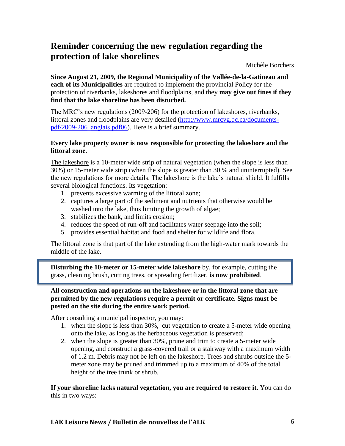### **Reminder concerning the new regulation regarding the protection of lake shorelines**

Michèle Borchers

**Since August 21, 2009, the Regional Municipality of the Vallée-de-la-Gatineau and each of its Municipalities** are required to implement the provincial Policy for the protection of riverbanks, lakeshores and floodplains, and they **may give out fines if they find that the lake shoreline has been disturbed.** 

The MRC's new regulations (2009-206) for the protection of lakeshores, riverbanks, littoral zones and floodplains are very detailed [\(http://www.mrcvg.qc.ca/documents](http://www.mrcvg.qc.ca/documents-pdf/2009-206_anglais.pdf06)[pdf/2009-206\\_anglais.pdf06\)](http://www.mrcvg.qc.ca/documents-pdf/2009-206_anglais.pdf06). Here is a brief summary.

#### **Every lake property owner is now responsible for protecting the lakeshore and the littoral zone.**

The lakeshore is a 10-meter wide strip of natural vegetation (when the slope is less than 30%) or 15-meter wide strip (when the slope is greater than 30 % and uninterrupted). See the new regulations for more details. The lakeshore is the lake's natural shield. It fulfills several biological functions. Its vegetation:

- 1. prevents excessive warming of the littoral zone;
- 2. captures a large part of the sediment and nutrients that otherwise would be washed into the lake, thus limiting the growth of algae;
- 3. stabilizes the bank, and limits erosion;
- 4. reduces the speed of run-off and facilitates water seepage into the soil;
- 5. provides essential habitat and food and shelter for wildlife and flora.

The littoral zone is that part of the lake extending from the high-water mark towards the middle of the lake.

**Disturbing the 10-meter or 15-meter wide lakeshore** by, for example, cutting the grass, cleaning brush, cutting trees, or spreading fertilizer, **is now prohibited**.

#### **All construction and operations on the lakeshore or in the littoral zone that are permitted by the new regulations require a permit or certificate. Signs must be posted on the site during the entire work period.**

After consulting a municipal inspector, you may:

- 1. when the slope is less than 30%, cut vegetation to create a 5-meter wide opening onto the lake, as long as the herbaceous vegetation is preserved;
- 2. when the slope is greater than 30%, prune and trim to create a 5-meter wide opening, and construct a grass-covered trail or a stairway with a maximum width of 1.2 m. Debris may not be left on the lakeshore. Trees and shrubs outside the 5 meter zone may be pruned and trimmed up to a maximum of 40% of the total height of the tree trunk or shrub.

**If your shoreline lacks natural vegetation, you are required to restore it.** You can do this in two ways: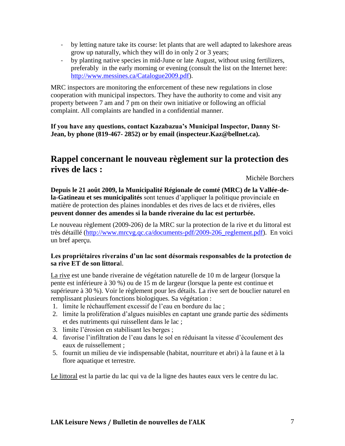- by letting nature take its course: let plants that are well adapted to lakeshore areas grow up naturally, which they will do in only 2 or 3 years;
- by planting native species in mid-June or late August, without using fertilizers, preferably in the early morning or evening (consult the list on the Internet here: [http://www.messines.ca/Catalogue2009.pdf\)](http://www.messines.ca/Catalogue2009.pdf).

MRC inspectors are monitoring the enforcement of these new regulations in close cooperation with municipal inspectors. They have the authority to come and visit any property between 7 am and 7 pm on their own initiative or following an official complaint. All complaints are handled in a confidential manner.

**If you have any questions, contact Kazabazua's Municipal Inspector, Danny St-Jean, by phone (819-467- 2852) or by email (inspecteur.Kaz@bellnet.ca).**

### **Rappel concernant le nouveau règlement sur la protection des rives de lacs :**

Michèle Borchers

**Depuis le 21 août 2009, la Municipalité Régionale de comté (MRC) de la Vallée-dela-Gatineau et ses municipalités** sont tenues d'appliquer la politique provinciale en matière de protection des plaines inondables et des rives de lacs et de rivières, elles **peuvent donner des amendes si la bande riveraine du lac est perturbée.** 

Le nouveau règlement (2009-206) de la MRC sur la protection de la rive et du littoral est très détaillé [\(http://www.mrcvg.qc.ca/documents-pdf/2009-206\\_reglement.pdf\)](http://www.mrcvg.qc.ca/documents-pdf/2009-206_reglement.pdf). En voici un bref aperçu.

#### **Les propriétaires riverains d'un lac sont désormais responsables de la protection de sa rive ET de son littora**l.

La rive est une bande riveraine de végétation naturelle de 10 m de largeur (lorsque la pente est inférieure à 30 %) ou de 15 m de largeur (lorsque la pente est continue et supérieure à 30 %). Voir le règlement pour les détails. La rive sert de bouclier naturel en remplissant plusieurs fonctions biologiques. Sa végétation :

- 1. limite le réchauffement excessif de l'eau en bordure du lac ;
- 2. limite la prolifération d'algues nuisibles en captant une grande partie des sédiments et des nutriments qui ruissellent dans le lac ;
- 3. limite l'érosion en stabilisant les berges ;
- 4. favorise l'infiltration de l'eau dans le sol en réduisant la vitesse d'écoulement des eaux de ruissellement ;
- 5. fournit un milieu de vie indispensable (habitat, nourriture et abri) à la faune et à la flore aquatique et terrestre.

Le littoral est la partie du lac qui va de la ligne des hautes eaux vers le centre du lac.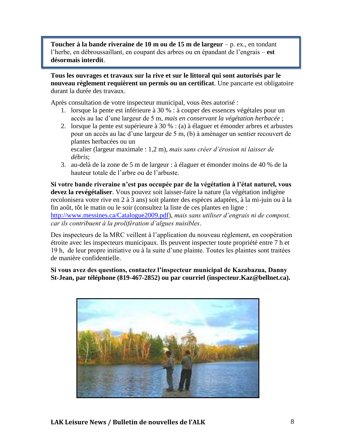**Toucher à la bande riveraine de 10 m ou de 15 m de largeur** – p. ex., en tondant l'herbe, en débroussaillant, en coupant des arbres ou en épandant de l'engrais – **est désormais interdit**.

**Tous les ouvrages et travaux sur la rive et sur le littoral qui sont autorisés par le nouveau règlement requièrent un permis ou un certificat**. Une pancarte est obligatoire durant la durée des travaux.

Après consultation de votre inspecteur municipal, vous êtes autorisé :

- 1. lorsque la pente est inférieure à 30 % : à couper des essences végétales pour un accès au lac d'une largeur de 5 m, *mais en conservant la végétation herbacée* ;
- 2. lorsque la pente est supérieure à 30 % : (a) à élaguer et émonder arbres et arbustes pour un accès au lac d'une largeur de 5 m, (b) à aménager un sentier recouvert de plantes herbacées ou un escalier (largeur maximale : 1,2 m), *mais sans créer d'érosion ni laisser de*
- *débris*; 3. au-delà de la zone de 5 m de largeur : à élaguer et émonder moins de 40 % de la hauteur totale de l'arbre ou de l'arbuste.

**Si votre bande riveraine n'est pas occupée par de la végétation à l'état naturel, vous devez la revégétaliser**. Vous pouvez soit laisser-faire la nature (la végétation indigène recolonisera votre rive en 2 à 3 ans) soit planter des espèces adaptées, à la mi-juin ou à la fin août, tôt le matin ou le soir (consultez la liste de ces plantes en ligne : [http://www.messines.ca/Catalogue2009.pdf\)](http://www.messines.ca/Catalogue2009.pdf), *mais sans utiliser d'engrais ni de compost, car ils contribuent à la prolifération d'algues nuisibles*.

Des inspecteurs de la MRC veillent à l'application du nouveau règlement, en coopération étroite avec les inspecteurs municipaux. Ils peuvent inspecter toute propriété entre 7 h et 19 h, de leur propre initiative ou à la suite d'une plainte. Toutes les plaintes sont traitées de manière confidentielle.

**Si vous avez des questions, contactez l'inspecteur municipal de Kazabazua, Danny St-Jean, par téléphone (819-467-2852) ou par courriel (inspecteur.Kaz@bellnet.ca).**

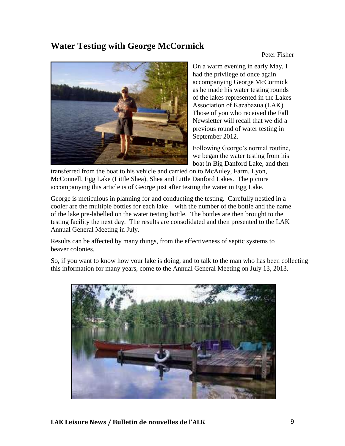### **Water Testing with George McCormick**

Peter Fisher



On a warm evening in early May, I had the privilege of once again accompanying George McCormick as he made his water testing rounds of the lakes represented in the Lakes Association of Kazabazua (LAK). Those of you who received the Fall Newsletter will recall that we did a previous round of water testing in September 2012.

Following George's normal routine, we began the water testing from his boat in Big Danford Lake, and then

transferred from the boat to his vehicle and carried on to McAuley, Farm, Lyon, McConnell, Egg Lake (Little Shea), Shea and Little Danford Lakes. The picture accompanying this article is of George just after testing the water in Egg Lake.

George is meticulous in planning for and conducting the testing. Carefully nestled in a cooler are the multiple bottles for each lake – with the number of the bottle and the name of the lake pre-labelled on the water testing bottle. The bottles are then brought to the testing facility the next day. The results are consolidated and then presented to the LAK Annual General Meeting in July.

Results can be affected by many things, from the effectiveness of septic systems to beaver colonies.

So, if you want to know how your lake is doing, and to talk to the man who has been collecting this information for many years, come to the Annual General Meeting on July 13, 2013.

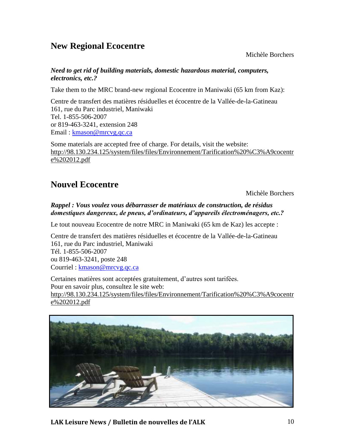### **New Regional Ecocentre**

Michèle Borchers

#### *Need to get rid of building materials, domestic hazardous material, computers, electronics, etc.?*

Take them to the MRC brand-new regional Ecocentre in Maniwaki (65 km from Kaz):

Centre de transfert des matières résiduelles et écocentre de la Vallée-de-la-Gatineau 161, rue du Parc industriel, Maniwaki Tel. 1-855-506-2007 or 819-463-3241, extension 248 Email: [kmason@mrcvg.qc.ca](mailto:kmason@mrcvg.qc.ca)

Some materials are accepted free of charge. For details, visit the website: [http://98.130.234.125/system/files/files/Environnement/Tarification%20%C3%A9cocentr](http://98.130.234.125/system/files/files/Environnement/Tarification%20%C3%A9cocentre%202012.pdf) [e%202012.pdf](http://98.130.234.125/system/files/files/Environnement/Tarification%20%C3%A9cocentre%202012.pdf)

### **Nouvel Ecocentre**

Michèle Borchers

#### *Rappel : Vous voulez vous débarrasser de matériaux de construction, de résidus domestiques dangereux, de pneus, d'ordinateurs, d'appareils électroménagers, etc.?*

Le tout nouveau Ecocentre de notre MRC in Maniwaki (65 km de Kaz) les accepte :

Centre de transfert des matières résiduelles et écocentre de la Vallée-de-la-Gatineau 161, rue du Parc industriel, Maniwaki Tél. 1-855-506-2007 ou 819-463-3241, poste 248 Courriel : [kmason@mrcvg.qc.ca](mailto:kmason@mrcvg.qc.ca)

Certaines matières sont acceptées gratuitement, d'autres sont tarifées. Pour en savoir plus, consultez le site web: [http://98.130.234.125/system/files/files/Environnement/Tarification%20%C3%A9cocentr](http://98.130.234.125/system/files/files/Environnement/Tarification%20%C3%A9cocentre%202012.pdf) [e%202012.pdf](http://98.130.234.125/system/files/files/Environnement/Tarification%20%C3%A9cocentre%202012.pdf) 



**LAK Leisure News / Bulletin de nouvelles de l'ALK** 10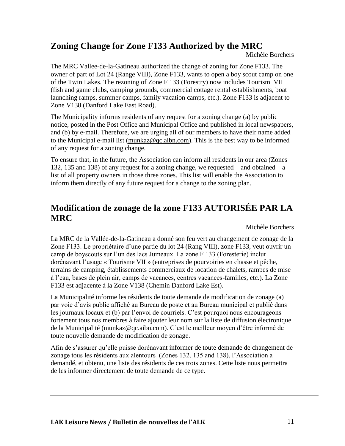### **Zoning Change for Zone F133 Authorized by the MRC**

Michèle Borchers

The MRC Vallee-de-la-Gatineau authorized the change of zoning for Zone F133. The owner of part of Lot 24 (Range VIII), Zone F133, wants to open a boy scout camp on one of the Twin Lakes. The rezoning of Zone F 133 (Forestry) now includes Tourism VII (fish and game clubs, camping grounds, commercial cottage rental establishments, boat launching ramps, summer camps, family vacation camps, etc.). Zone F133 is adjacent to Zone V138 (Danford Lake East Road).

The Municipality informs residents of any request for a zoning change (a) by public notice, posted in the Post Office and Municipal Office and published in local newspapers, and (b) by e-mail. Therefore, we are urging all of our members to have their name added to the Municipal e-mail list [\(munkaz@qc.aibn.com\)](mailto:munkaz@qc.aibn.com). This is the best way to be informed of any request for a zoning change.

To ensure that, in the future, the Association can inform all residents in our area (Zones 132, 135 and 138) of any request for a zoning change, we requested – and obtained – a list of all property owners in those three zones. This list will enable the Association to inform them directly of any future request for a change to the zoning plan.

### **Modification de zonage de la zone F133 AUTORISÉE PAR LA MRC**

Michèle Borchers

La MRC de la Vallée-de-la-Gatineau a donné son feu vert au changement de zonage de la Zone F133. Le propriétaire d'une partie du lot 24 (Rang VIII), zone F133, veut ouvrir un camp de boyscouts sur l'un des lacs Jumeaux. La zone F 133 (Foresterie) inclut dorénavant l'usage « Tourisme VII » (entreprises de pourvoiries en chasse et pêche, terrains de camping, établissements commerciaux de location de chalets, rampes de mise à l'eau, bases de plein air, camps de vacances, centres vacances-familles, etc.). La Zone F133 est adjacente à la Zone V138 (Chemin Danford Lake Est).

La Municipalité informe les résidents de toute demande de modification de zonage (a) par voie d'avis public affiché au Bureau de poste et au Bureau municipal et publié dans les journaux locaux et (b) par l'envoi de courriels. C'est pourquoi nous encourageons fortement tous nos membres à faire ajouter leur nom sur la liste de diffusion électronique de la Municipalité [\(munkaz@qc.aibn.com\)](mailto:munkaz@qc.aibn.com). C'est le meilleur moyen d'être informé de toute nouvelle demande de modification de zonage.

Afin de s'assurer qu'elle puisse dorénavant informer de toute demande de changement de zonage tous les résidents aux alentours (Zones 132, 135 and 138), l'Association a demandé, et obtenu, une liste des résidents de ces trois zones. Cette liste nous permettra de les informer directement de toute demande de ce type.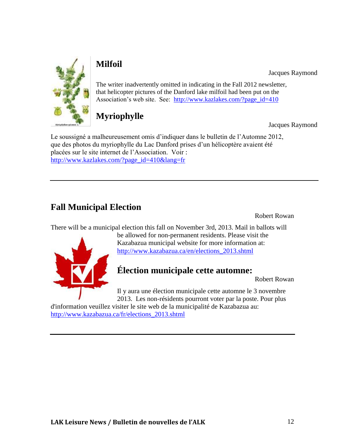

### **Milfoil**

Jacques Raymond

The writer inadvertently omitted in indicating in the Fall 2012 newsletter, that helicopter pictures of the Danford lake milfoil had been put on the Association's web site. See: [http://www.kazlakes.com/?page\\_id=410](http://www.kazlakes.com/?page_id=410)

### **Myriophylle**

Jacques Raymond

Le soussigné a malheureusement omis d'indiquer dans le bulletin de l'Automne 2012, que des photos du myriophylle du Lac Danford prises d'un hélicoptère avaient été placées sur le site internet de l'Association. Voir : [http://www.kazlakes.com/?page\\_id=410&lang=fr](http://www.kazlakes.com/?page_id=410&lang=fr)

### **Fall Municipal Election**

Robert Rowan

There will be a municipal election this fall on November 3rd, 2013. Mail in ballots will



be allowed for non-permanent residents. Please visit the Kazabazua municipal website for more information at: [http://www.kazabazua.ca/en/elections\\_2013.shtml](http://www.kazabazua.ca/en/elections_2013.shtml)

### **Élection municipale cette automne:**

Robert Rowan

Il y aura une élection municipale cette automne le 3 novembre 2013. Les non-résidents pourront voter par la poste. Pour plus

d'information veuillez visiter le site web de la municipalité de Kazabazua au: [http://www.kazabazua.ca/fr/elections\\_2013.shtml](http://www.kazabazua.ca/fr/elections_2013.shtml)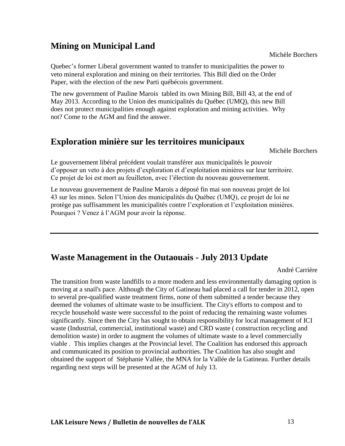### **Mining on Municipal Land**

Quebec's former Liberal government wanted to transfer to municipalities the power to veto mineral exploration and mining on their territories. This Bill died on the Order Paper, with the election of the new Parti québécois government.

The new government of Pauline Marois tabled its own Mining Bill, Bill 43, at the end of May 2013. According to the Union des municipalités du Québec (UMQ), this new Bill does not protect municipalities enough against exploration and mining activities. Why not? Come to the AGM and find the answer.

#### **Exploration minière sur les territoires municipaux**

Michèle Borchers

Le gouvernement libéral précédent voulait transférer aux municipalités le pouvoir d'opposer un veto à des projets d'exploration et d'exploitation minières sur leur territoire. Ce projet de loi est mort au feuilleton, avec l'élection du nouveau gouvernement.

Le nouveau gouvernement de Pauline Marois a déposé fin mai son nouveau projet de loi 43 sur les mines. Selon l'Union des municipalités du Québec (UMQ), ce projet de loi ne protège pas suffisamment les municipalités contre l'exploration et l'exploitation minières. Pourquoi ? Venez à l'AGM pour avoir la réponse.

#### **Waste Management in the Outaouais - July 2013 Update**

André Carrière

The transition from waste landfills to a more modern and less environmentally damaging option is moving at a snail's pace. Although the City of Gatineau had placed a call for tender in 2012, open to several pre-qualified waste treatment firms, none of them submitted a tender because they deemed the volumes of ultimate waste to be insufficient. The City's efforts to compost and to recycle household waste were successful to the point of reducing the remaining waste volumes significantly. Since then the City has sought to obtain responsibility for local management of ICI waste (Industrial, commercial, institutional waste) and CRD waste ( construction recycling and demolition waste) in order to augment the volumes of ultimate waste to a level commercially viable . This implies changes at the Provincial level. The Coalition has endorsed this approach and communicated its position to provincial authorities. The Coalition has also sought and obtained the support of Stéphanie Vallée, the MNA for la Vallée de la Gatineau. Further details regarding next steps will be presented at the AGM of July 13.

Michèle Borchers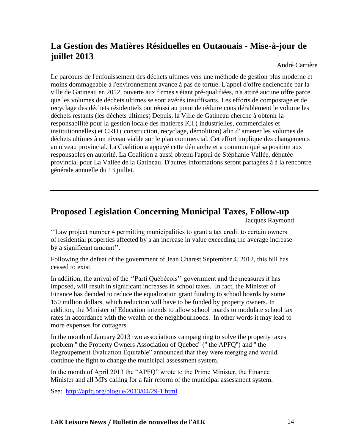### **La Gestion des Matières Résiduelles en Outaouais - Mise-à-jour de juillet 2013**

André Carrière

Le parcours de l'enfouissement des déchets ultimes vers une méthode de gestion plus moderne et moins dommageable à l'environnement avance à pas de tortue. L'appel d'offre enclenchée par la ville de Gatineau en 2012, ouverte aux firmes s'étant pré-qualifiées, n'a attiré aucune offre parce que les volumes de déchets ultimes se sont avérés insuffisants. Les efforts de compostage et de recyclage des déchets résidentiels ont réussi au point de réduire considérablement le volume les déchets restants (les déchets ultimes) Depuis, la Ville de Gatineau cherche à obtenir la responsabilité pour la gestion locale des matières ICI ( industrielles, commerciales et institutionnelles) et CRD ( construction, recyclage, démolition) afin d' amener les volumes de déchets ultimes à un niveau viable sur le plan commercial. Cet effort implique des changements au niveau provincial. La Coalition a appuyé cette démarche et a communiqué sa position aux responsables en autorité. La Coalition a aussi obtenu l'appui de Stéphanie Vallée, députée provincial pour La Vallée de la Gatineau. D'autres informations seront partagées à à la rencontre générale annuelle du 13 juillet.

### **Proposed Legislation Concerning Municipal Taxes, Follow-up**

Jacques Raymond

''Law project number 4 permitting municipalities to grant a tax credit to certain owners of residential properties affected by a an increase in value exceeding the average increase by a significant amount''.

Following the defeat of the government of Jean Charest September 4, 2012, this bill has ceased to exist.

In addition, the arrival of the ''Parti Québécois'' government and the measures it has imposed, will result in significant increases in school taxes. In fact, the Minister of Finance has decided to reduce the equalization grant funding to school boards by some 150 million dollars, which reduction will have to be funded by property owners. In addition, the Minister of Education intends to allow school boards to modulate school tax rates in accordance with the wealth of the neighbourhoods. In other words it may lead to more expenses for cottagers.

In the month of January 2013 two associations campaigning to solve the property taxes problem '' the Property Owners Association of Quebec'' ('' the APFQ'') and '' the Regroupement Évaluation Équitable" announced that they were merging and would continue the fight to change the municipal assessment system.

In the month of April 2013 the "APFQ" wrote to the Prime Minister, the Finance Minister and all MPs calling for a fair reform of the municipal assessment system.

See: <http://apfq.org/blogue/2013/04/29-1.html>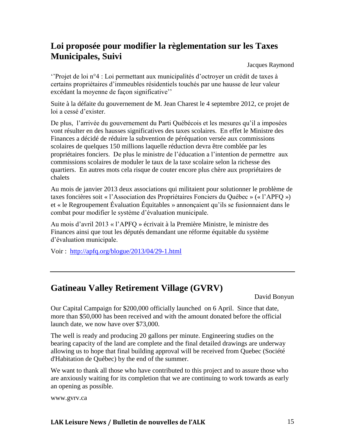#### **Loi proposée pour modifier la règlementation sur les Taxes Municipales, Suivi**

Jacques Raymond

''Projet de loi n°4 : Loi permettant aux municipalités d'octroyer un crédit de taxes à certains propriétaires d'immeubles résidentiels touchés par une hausse de leur valeur excédant la moyenne de façon significative''

Suite à la défaite du gouvernement de M. Jean Charest le 4 septembre 2012, ce projet de loi a cessé d'exister.

De plus, l'arrivée du gouvernement du Parti Québécois et les mesures qu'il a imposées vont résulter en des hausses significatives des taxes scolaires. En effet le Ministre des Finances a décidé de réduire la subvention de péréquation versée aux commissions scolaires de quelques 150 millions laquelle réduction devra être comblée par les propriétaires fonciers. De plus le ministre de l'éducation a l'intention de permettre aux commissions scolaires de moduler le taux de la taxe scolaire selon la richesse des quartiers. En autres mots cela risque de couter encore plus chère aux propriétaires de chalets

Au mois de janvier 2013 deux associations qui militaient pour solutionner le problème de taxes foncières soit « l'Association des Propriétaires Fonciers du Québec » (« l'APFQ ») et « le Regroupement Évaluation Équitables » annonçaient qu'ils se fusionnaient dans le combat pour modifier le système d'évaluation municipale.

Au mois d'avril 2013 « l'APFQ » écrivait à la Première Ministre, le ministre des Finances ainsi que tout les députés demandant une réforme équitable du système d'évaluation municipale.

Voir : <http://apfq.org/blogue/2013/04/29-1.html>

#### **Gatineau Valley Retirement Village (GVRV)**

David Bonyun

Our Capital Campaign for \$200,000 officially launched on 6 April. Since that date, more than \$50,000 has been received and with the amount donated before the official launch date, we now have over \$73,000.

The well is ready and producing 20 gallons per minute. Engineering studies on the bearing capacity of the land are complete and the final detailed drawings are underway allowing us to hope that final building approval will be received from Quebec (Société d'Habitation de Québec) by the end of the summer.

We want to thank all those who have contributed to this project and to assure those who are anxiously waiting for its completion that we are continuing to work towards as early an opening as possible.

www.gvrv.ca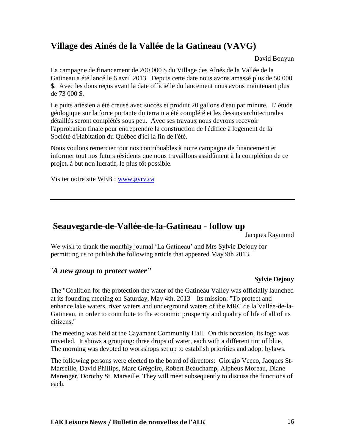### **Village des Ainés de la Vallée de la Gatineau (VAVG)**

David Bonyun

La campagne de financement de 200 000 \$ du Village des Aînés de la Vallée de la Gatineau a été lancé le 6 avril 2013. Depuis cette date nous avons amassé plus de 50 000 \$. Avec les dons reçus avant la date officielle du lancement nous avons maintenant plus de 73 000 \$.

Le puits artésien a été creusé avec succès et produit 20 gallons d'eau par minute. L' étude géologique sur la force portante du terrain a été complété et les dessins architecturales détaillés seront complétés sous peu. Avec ses travaux nous devrons recevoir l'approbation finale pour entreprendre la construction de l'édifice à logement de la Société d'Habitation du Québec d'ici la fin de l'été.

Nous voulons remercier tout nos contribuables à notre campagne de financement et informer tout nos futurs résidents que nous travaillons assidûment à la complétion de ce projet, à but non lucratif, le plus tôt possible.

Visiter notre site WEB : [www.gvrv.ca](http://www.gvrv.ca/)

#### **Seauvegarde-de-Vallée-de-la-Gatineau - follow up**

Jacques Raymond

We wish to thank the monthly journal 'La Gatineau' and Mrs Sylvie Dejouy for permitting us to publish the following article that appeared May 9th 2013.

#### *'A new group to protect water''*

#### **Sylvie Dejouy**

The "Coalition for the protection the water of the Gatineau Valley was officially launched at its founding meeting on Saturday, May 4th, 2013. Its mission: "To protect and enhance lake waters, river waters and underground waters of the MRC de la Vallée-de-la-Gatineau, in order to contribute to the economic prosperity and quality of life of all of its citizens."

The meeting was held at the Cayamant Community Hall. On this occasion, its logo was unveiled. It shows a grouping: three drops of water, each with a different tint of blue. The morning was devoted to workshops set up to establish priorities and adopt bylaws.

The following persons were elected to the board of directors: Giorgio Vecco, Jacques St-Marseille, David Phillips, Marc Grégoire, Robert Beauchamp, Alpheus Moreau, Diane Marenger, Dorothy St. Marseille. They will meet subsequently to discuss the functions of each.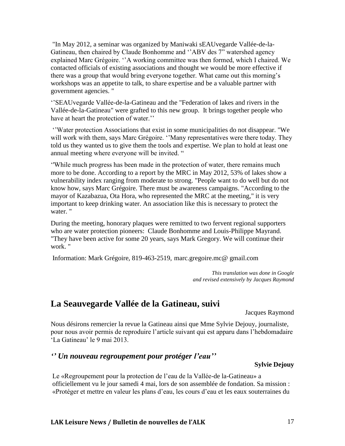"In May 2012, a seminar was organized by Maniwaki sEAUvegarde Vallée-de-la-Gatineau, then chaired by Claude Bonhomme and ''ABV des 7" watershed agency explained Marc Grégoire. ''A working committee was then formed, which I chaired. We contacted officials of existing associations and thought we would be more effective if there was a group that would bring everyone together. What came out this morning's workshops was an appetite to talk, to share expertise and be a valuable partner with government agencies. "

''SEAUvegarde Vallée-de-la-Gatineau and the "Federation of lakes and rivers in the Vallée-de-la-Gatineau" were grafted to this new group. It brings together people who have at heart the protection of water.''

''Water protection Associations that exist in some municipalities do not disappear. "We will work with them, says Marc Grégoire. "Many representatives were there today. They told us they wanted us to give them the tools and expertise. We plan to hold at least one annual meeting where everyone will be invited. "

''While much progress has been made in the protection of water, there remains much more to be done. According to a report by the MRC in May 2012, 53% of lakes show a vulnerability index ranging from moderate to strong. "People want to do well but do not know how, says Marc Grégoire. There must be awareness campaigns. "According to the mayor of Kazabazua, Ota Hora, who represented the MRC at the meeting," it is very important to keep drinking water. An association like this is necessary to protect the water. "

During the meeting, honorary plaques were remitted to two fervent regional supporters who are water protection pioneers: Claude Bonhomme and Louis-Philippe Mayrand. "They have been active for some 20 years, says Mark Gregory. We will continue their work. "

Information: Mark Grégoire, 819-463-2519, marc.gregoire.mc@ gmail.com

*This translation was done in Google and revised extensively by Jacques Raymond*

#### **La Seauvegarde Vallée de la Gatineau, suivi**

Jacques Raymond

Nous désirons remercier la revue la Gatineau ainsi que Mme Sylvie Dejouy, journaliste, pour nous avoir permis de reproduire l'article suivant qui est apparu dans l'hebdomadaire 'La Gatineau' le 9 mai 2013.

#### *'' Un nouveau regroupement pour protéger l'eau''*

#### **Sylvie Dejouy**

Le «Regroupement pour la protection de l'eau de la Vallée-de la-Gatineau» a officiellement vu le jour samedi 4 mai, lors de son assemblée de fondation. Sa mission : «Protéger et mettre en valeur les plans d'eau, les cours d'eau et les eaux souterraines du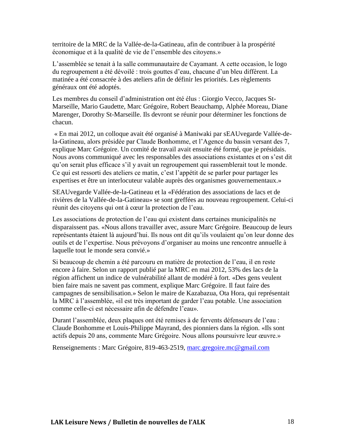territoire de la MRC de la Vallée-de-la-Gatineau, afin de contribuer à la prospérité économique et à la qualité de vie de l'ensemble des citoyens.»

L'assemblée se tenait à la salle communautaire de Cayamant. A cette occasion, le logo du regroupement a été dévoilé : trois gouttes d'eau, chacune d'un bleu différent. La matinée a été consacrée à des ateliers afin de définir les priorités. Les règlements généraux ont été adoptés.

Les membres du conseil d'administration ont été élus : Giorgio Vecco, Jacques St-Marseille, Mario Gaudette, Marc Grégoire, Robert Beauchamp, Alphée Moreau, Diane Marenger, Dorothy St-Marseille. Ils devront se réunir pour déterminer les fonctions de chacun.

« En mai 2012, un colloque avait été organisé à Maniwaki par sEAUvegarde Vallée-dela-Gatineau, alors présidée par Claude Bonhomme, et l'Agence du bassin versant des 7, explique Marc Grégoire. Un comité de travail avait ensuite été formé, que je présidais. Nous avons communiqué avec les responsables des associations existantes et on s'est dit qu'on serait plus efficace s'il y avait un regroupement qui rassemblerait tout le monde. Ce qui est ressorti des ateliers ce matin, c'est l'appétit de se parler pour partager les expertises et être un interlocuteur valable auprès des organismes gouvernementaux.»

SEAUvegarde Vallée-de-la-Gatineau et la «Fédération des associations de lacs et de rivières de la Vallée-de-la-Gatineau» se sont greffées au nouveau regroupement. Celui-ci réunit des citoyens qui ont à cœur la protection de l'eau.

Les associations de protection de l'eau qui existent dans certaines municipalités ne disparaissent pas. «Nous allons travailler avec, assure Marc Grégoire. Beaucoup de leurs représentants étaient là aujourd'hui. Ils nous ont dit qu'ils voulaient qu'on leur donne des outils et de l'expertise. Nous prévoyons d'organiser au moins une rencontre annuelle à laquelle tout le monde sera convié.»

Si beaucoup de chemin a été parcouru en matière de protection de l'eau, il en reste encore à faire. Selon un rapport publié par la MRC en mai 2012, 53% des lacs de la région affichent un indice de vulnérabilité allant de modéré à fort. «Des gens veulent bien faire mais ne savent pas comment, explique Marc Grégoire. Il faut faire des campagnes de sensibilisation.» Selon le maire de Kazabazua, Ota Hora, qui représentait la MRC à l'assemblée, «il est très important de garder l'eau potable. Une association comme celle-ci est nécessaire afin de défendre l'eau».

Durant l'assemblée, deux plaques ont été remises à de fervents défenseurs de l'eau : Claude Bonhomme et Louis-Philippe Mayrand, des pionniers dans la région. «Ils sont actifs depuis 20 ans, commente Marc Grégoire. Nous allons poursuivre leur œuvre.»

Renseignements : Marc Grégoire, 819-463-2519, [marc.gregoire.mc@gmail.com](mailto:marc.gregoire.mc@gmail.com)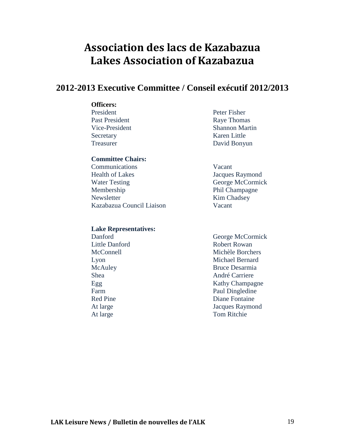### **Association des lacs de Kazabazua Lakes Association of Kazabazua**

#### **2012-2013 Executive Committee / Conseil exécutif 2012/2013**

#### **Officers:**

President Peter Fisher Past President Raye Thomas Secretary Karen Little

#### **Committee Chairs:**

 Communications Vacant Health of Lakes Jacques Raymond Water Testing George McCormick Membership Phil Champagne Newsletter Kim Chadsey Kazabazua Council Liaison Vacant

#### **Lake Representatives:**

Vice-President Shannon Martin Treasurer David Bonyun

 Danford George McCormick Little Danford Robert Rowan McConnell Michèle Borchers Lyon Michael Bernard McAuley Bruce Desarmia Shea André Carriere Egg Kathy Champagne Farm Paul Dingledine Red Pine **Diane** Fontaine At large Jacques Raymond At large Tom Ritchie